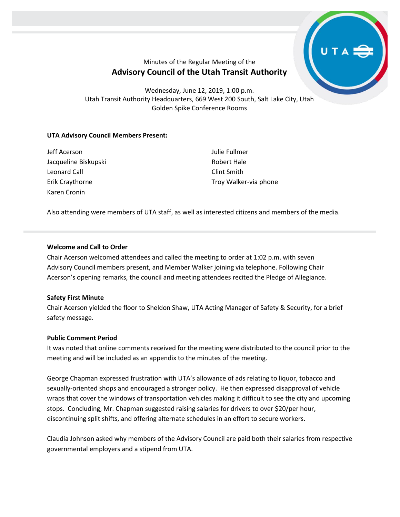# Minutes of the Regular Meeting of the **Advisory Council of the Utah Transit Authority**

Wednesday, June 12, 2019, 1:00 p.m. Utah Transit Authority Headquarters, 669 West 200 South, Salt Lake City, Utah Golden Spike Conference Rooms

### **UTA Advisory Council Members Present:**

Jeff Acerson Jacqueline Biskupski Leonard Call Erik Craythorne Karen Cronin

Julie Fullmer Robert Hale Clint Smith Troy Walker-via phone

Also attending were members of UTA staff, as well as interested citizens and members of the media.

### **Welcome and Call to Order**

Chair Acerson welcomed attendees and called the meeting to order at 1:02 p.m. with seven Advisory Council members present, and Member Walker joining via telephone. Following Chair Acerson's opening remarks, the council and meeting attendees recited the Pledge of Allegiance.

#### **Safety First Minute**

Chair Acerson yielded the floor to Sheldon Shaw, UTA Acting Manager of Safety & Security, for a brief safety message.

#### **Public Comment Period**

It was noted that online comments received for the meeting were distributed to the council prior to the meeting and will be included as an appendix to the minutes of the meeting.

George Chapman expressed frustration with UTA's allowance of ads relating to liquor, tobacco and sexually-oriented shops and encouraged a stronger policy. He then expressed disapproval of vehicle wraps that cover the windows of transportation vehicles making it difficult to see the city and upcoming stops. Concluding, Mr. Chapman suggested raising salaries for drivers to over \$20/per hour, discontinuing split shifts, and offering alternate schedules in an effort to secure workers.

Claudia Johnson asked why members of the Advisory Council are paid both their salaries from respective governmental employers and a stipend from UTA.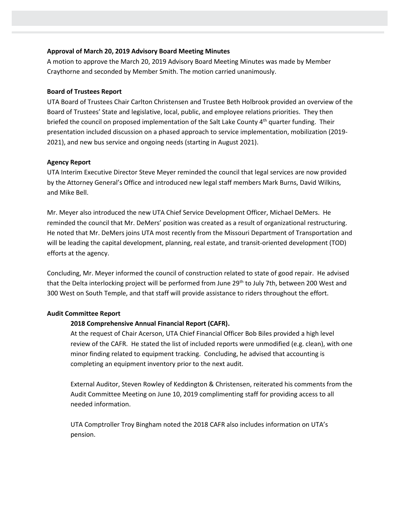#### **Approval of March 20, 2019 Advisory Board Meeting Minutes**

A motion to approve the March 20, 2019 Advisory Board Meeting Minutes was made by Member Craythorne and seconded by Member Smith. The motion carried unanimously.

#### **Board of Trustees Report**

UTA Board of Trustees Chair Carlton Christensen and Trustee Beth Holbrook provided an overview of the Board of Trustees' State and legislative, local, public, and employee relations priorities. They then briefed the council on proposed implementation of the Salt Lake County 4<sup>th</sup> quarter funding. Their presentation included discussion on a phased approach to service implementation, mobilization (2019- 2021), and new bus service and ongoing needs (starting in August 2021).

#### **Agency Report**

UTA Interim Executive Director Steve Meyer reminded the council that legal services are now provided by the Attorney General's Office and introduced new legal staff members Mark Burns, David Wilkins, and Mike Bell.

Mr. Meyer also introduced the new UTA Chief Service Development Officer, Michael DeMers. He reminded the council that Mr. DeMers' position was created as a result of organizational restructuring. He noted that Mr. DeMers joins UTA most recently from the Missouri Department of Transportation and will be leading the capital development, planning, real estate, and transit-oriented development (TOD) efforts at the agency.

Concluding, Mr. Meyer informed the council of construction related to state of good repair. He advised that the Delta interlocking project will be performed from June 29<sup>th</sup> to July 7th, between 200 West and 300 West on South Temple, and that staff will provide assistance to riders throughout the effort.

#### **Audit Committee Report**

#### **2018 Comprehensive Annual Financial Report (CAFR).**

At the request of Chair Acerson, UTA Chief Financial Officer Bob Biles provided a high level review of the CAFR. He stated the list of included reports were unmodified (e.g. clean), with one minor finding related to equipment tracking. Concluding, he advised that accounting is completing an equipment inventory prior to the next audit.

External Auditor, Steven Rowley of Keddington & Christensen, reiterated his comments from the Audit Committee Meeting on June 10, 2019 complimenting staff for providing access to all needed information.

UTA Comptroller Troy Bingham noted the 2018 CAFR also includes information on UTA's pension.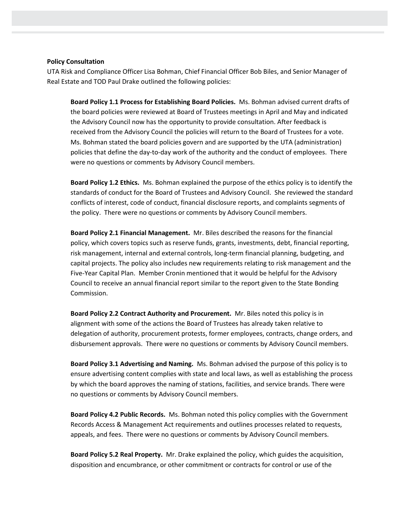#### **Policy Consultation**

UTA Risk and Compliance Officer Lisa Bohman, Chief Financial Officer Bob Biles, and Senior Manager of Real Estate and TOD Paul Drake outlined the following policies:

**Board Policy 1.1 Process for Establishing Board Policies.** Ms. Bohman advised current drafts of the board policies were reviewed at Board of Trustees meetings in April and May and indicated the Advisory Council now has the opportunity to provide consultation. After feedback is received from the Advisory Council the policies will return to the Board of Trustees for a vote. Ms. Bohman stated the board policies govern and are supported by the UTA (administration) policies that define the day-to-day work of the authority and the conduct of employees. There were no questions or comments by Advisory Council members.

**Board Policy 1.2 Ethics.** Ms. Bohman explained the purpose of the ethics policy is to identify the standards of conduct for the Board of Trustees and Advisory Council. She reviewed the standard conflicts of interest, code of conduct, financial disclosure reports, and complaints segments of the policy. There were no questions or comments by Advisory Council members.

**Board Policy 2.1 Financial Management.** Mr. Biles described the reasons for the financial policy, which covers topics such as reserve funds, grants, investments, debt, financial reporting, risk management, internal and external controls, long-term financial planning, budgeting, and capital projects. The policy also includes new requirements relating to risk management and the Five-Year Capital Plan. Member Cronin mentioned that it would be helpful for the Advisory Council to receive an annual financial report similar to the report given to the State Bonding Commission.

**Board Policy 2.2 Contract Authority and Procurement.** Mr. Biles noted this policy is in alignment with some of the actions the Board of Trustees has already taken relative to delegation of authority, procurement protests, former employees, contracts, change orders, and disbursement approvals. There were no questions or comments by Advisory Council members.

**Board Policy 3.1 Advertising and Naming.** Ms. Bohman advised the purpose of this policy is to ensure advertising content complies with state and local laws, as well as establishing the process by which the board approves the naming of stations, facilities, and service brands. There were no questions or comments by Advisory Council members.

**Board Policy 4.2 Public Records.** Ms. Bohman noted this policy complies with the Government Records Access & Management Act requirements and outlines processes related to requests, appeals, and fees. There were no questions or comments by Advisory Council members.

**Board Policy 5.2 Real Property.** Mr. Drake explained the policy, which guides the acquisition, disposition and encumbrance, or other commitment or contracts for control or use of the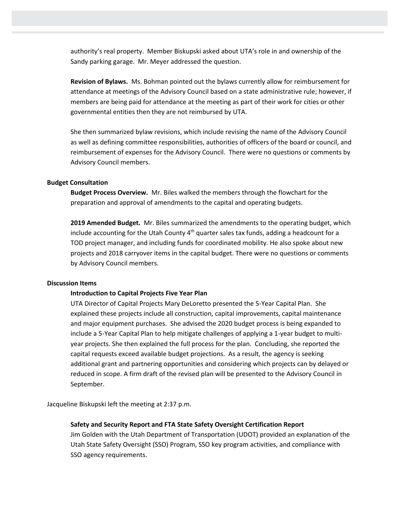authority's real property. Member Biskupski asked about UTA's role in and ownership of the Sandy parking garage. Mr. Meyer addressed the question.

**Revision of Bylaws.** Ms. Bohman pointed out the bylaws currently allow for reimbursement for attendance at meetings of the Advisory Council based on a state administrative rule; however, if members are being paid for attendance at the meeting as part of their work for cities or other governmental entities then they are not reimbursed by UTA.

She then summarized bylaw revisions, which include revising the name of the Advisory Council as well as defining committee responsibilities, authorities of officers of the board or council, and reimbursement of expenses for the Advisory Council. There were no questions or comments by Advisory Council members.

#### **Budget Consultation**

**Budget Process Overview.** Mr. Biles walked the members through the flowchart for the preparation and approval of amendments to the capital and operating budgets.

**2019 Amended Budget.** Mr. Biles summarized the amendments to the operating budget, which include accounting for the Utah County  $4^{\text{th}}$  quarter sales tax funds, adding a headcount for a TOD project manager, and including funds for coordinated mobility. He also spoke about new projects and 2018 carryover items in the capital budget. There were no questions or comments by Advisory Council members.

#### **Discussion Items**

#### **Introduction to Capital Projects Five Year Plan**

UTA Director of Capital Projects Mary DeLoretto presented the 5-Year Capital Plan. She explained these projects include all construction, capital improvements, capital maintenance and major equipment purchases. She advised the 2020 budget process is being expanded to include a 5-Year Capital Plan to help mitigate challenges of applying a 1-year budget to multiyear projects. She then explained the full process for the plan. Concluding, she reported the capital requests exceed available budget projections. As a result, the agency is seeking additional grant and partnering opportunities and considering which projects can by delayed or reduced in scope. A firm draft of the revised plan will be presented to the Advisory Council in September.

Jacqueline Biskupski left the meeting at 2:37 p.m.

#### **Safety and Security Report and FTA State Safety Oversight Certification Report**

Jim Golden with the Utah Department of Transportation (UDOT) provided an explanation of the Utah State Safety Oversight (SSO) Program, SSO key program activities, and compliance with SSO agency requirements.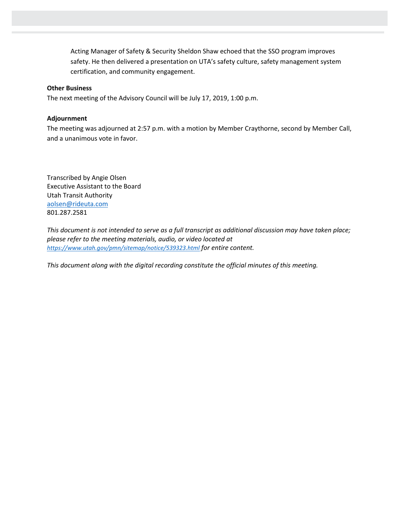Acting Manager of Safety & Security Sheldon Shaw echoed that the SSO program improves safety. He then delivered a presentation on UTA's safety culture, safety management system certification, and community engagement.

#### **Other Business**

The next meeting of the Advisory Council will be July 17, 2019, 1:00 p.m.

#### **Adjournment**

The meeting was adjourned at 2:57 p.m. with a motion by Member Craythorne, second by Member Call, and a unanimous vote in favor.

Transcribed by Angie Olsen Executive Assistant to the Board Utah Transit Authority aolsen@rideuta.com 801.287.2581

*This document is not intended to serve as a full transcript as additional discussion may have taken place; please refer to the meeting materials, audio, or video located at <https://www.utah.gov/pmn/sitemap/notice/539323.html> for entire content.*

*This document along with the digital recording constitute the official minutes of this meeting.*